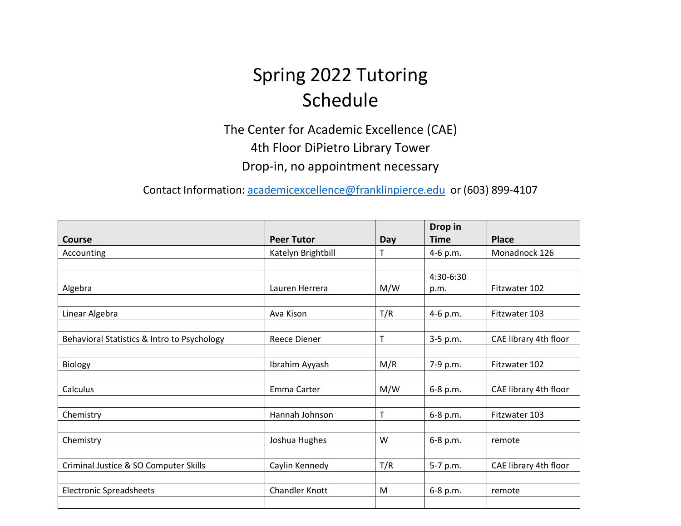## Spring 2022 Tutoring Schedule

The Center for Academic Excellence (CAE) 4th Floor DiPietro Library Tower Drop-in, no appointment necessary

Contact Information: [academicexcellence@franklinpierce.edu](mailto:academicexcellence@franklinpierce.edu) or (603) 899-4107

|                                             |                       |     | Drop in     |                       |
|---------------------------------------------|-----------------------|-----|-------------|-----------------------|
| <b>Course</b>                               | <b>Peer Tutor</b>     | Day | <b>Time</b> | <b>Place</b>          |
| Accounting                                  | Katelyn Brightbill    | т   | 4-6 p.m.    | Monadnock 126         |
|                                             |                       |     |             |                       |
|                                             |                       |     | 4:30-6:30   |                       |
| Algebra                                     | Lauren Herrera        | M/W | p.m.        | Fitzwater 102         |
|                                             |                       |     |             |                       |
| Linear Algebra                              | Ava Kison             | T/R | 4-6 p.m.    | Fitzwater 103         |
|                                             |                       |     |             |                       |
| Behavioral Statistics & Intro to Psychology | Reece Diener          | T   | 3-5 p.m.    | CAE library 4th floor |
|                                             |                       |     |             |                       |
| Biology                                     | Ibrahim Ayyash        | M/R | 7-9 p.m.    | Fitzwater 102         |
|                                             |                       |     |             |                       |
| Calculus                                    | Emma Carter           | M/W | 6-8 p.m.    | CAE library 4th floor |
|                                             |                       |     |             |                       |
| Chemistry                                   | Hannah Johnson        | T   | 6-8 p.m.    | Fitzwater 103         |
|                                             |                       |     |             |                       |
| Chemistry                                   | Joshua Hughes         | W   | 6-8 p.m.    | remote                |
|                                             |                       |     |             |                       |
| Criminal Justice & SO Computer Skills       | Caylin Kennedy        | T/R | 5-7 p.m.    | CAE library 4th floor |
|                                             |                       |     |             |                       |
| <b>Electronic Spreadsheets</b>              | <b>Chandler Knott</b> | M   | 6-8 p.m.    | remote                |
|                                             |                       |     |             |                       |